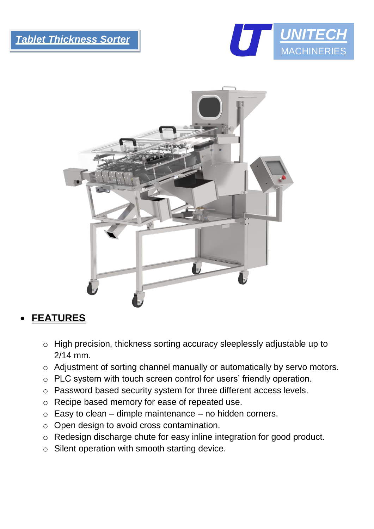j





## • **FEATURES**

- o High precision, thickness sorting accuracy sleeplessly adjustable up to 2/14 mm.
- o Adjustment of sorting channel manually or automatically by servo motors.
- o PLC system with touch screen control for users' friendly operation.
- o Password based security system for three different access levels.
- o Recipe based memory for ease of repeated use.
- $\circ$  Easy to clean dimple maintenance no hidden corners.
- o Open design to avoid cross contamination.
- o Redesign discharge chute for easy inline integration for good product.
- o Silent operation with smooth starting device.